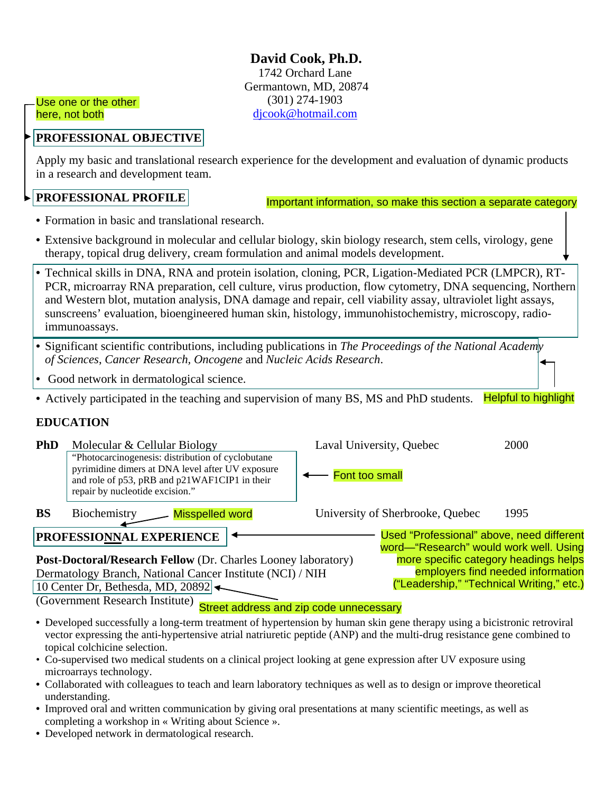**David Cook, Ph.D.** 1742 Orchard Lane Germantown, MD, 20874 (301) 274-1903 [djcook@hotmail.com](mailto:djcook@hotmail.com)

Use one or the other here, not both

## **PROFESSIONAL OBJECTIVE**

Apply my basic and translational research experience for the development and evaluation of dynamic products in a research and development team.

# **PROFESSIONAL PROFILE**

Important information, so make this section a separate category

- **•** Formation in basic and translational research.
- **•** Extensive background in molecular and cellular biology, skin biology research, stem cells, virology, gene therapy, topical drug delivery, cream formulation and animal models development.
- **•** Technical skills in DNA, RNA and protein isolation, cloning, PCR, Ligation-Mediated PCR (LMPCR), RT-PCR, microarray RNA preparation, cell culture, virus production, flow cytometry, DNA sequencing, Northern and Western blot, mutation analysis, DNA damage and repair, cell viability assay, ultraviolet light assays, sunscreens' evaluation, bioengineered human skin, histology, immunohistochemistry, microscopy, radioimmunoassays.
- **•** Significant scientific contributions, including publications in *The Proceedings of the National Academy of Sciences*, *Cancer Research, Oncogene* and *Nucleic Acids Research*.
- **•** Good network in dermatological science.
- **•** Actively participated in the teaching and supervision of many BS, MS and PhD students. Helpful to highlight

## **EDUCATION**

| <b>PhD</b>                                                                                                             | Molecular & Cellular Biology<br>"Photocarcinogenesis: distribution of cyclobutane"<br>pyrimidine dimers at DNA level after UV exposure<br>and role of p53, pRB and p21WAF1CIP1 in their<br>repair by nucleotide excision." | Laval University, Quebec<br>Font too small | 2000 |  |  |  |  |  |
|------------------------------------------------------------------------------------------------------------------------|----------------------------------------------------------------------------------------------------------------------------------------------------------------------------------------------------------------------------|--------------------------------------------|------|--|--|--|--|--|
| <b>BS</b>                                                                                                              | Biochemistry<br><b>Misspelled word</b>                                                                                                                                                                                     | University of Sherbrooke, Quebec           | 1995 |  |  |  |  |  |
| Used "Professional" above, need different<br><b>PROFESSIONNAL EXPERIENCE</b><br>word-"Research" would work well. Using |                                                                                                                                                                                                                            |                                            |      |  |  |  |  |  |
| more specific category headings helps<br>Post-Doctoral/Research Fellow (Dr. Charles Looney laboratory)                 |                                                                                                                                                                                                                            |                                            |      |  |  |  |  |  |
|                                                                                                                        | Dermatology Branch, National Cancer Institute (NCI) / NIH                                                                                                                                                                  | employers find needed information          |      |  |  |  |  |  |
|                                                                                                                        | 10 Center Dr, Bethesda, MD, 20892 $\blacktriangleleft$                                                                                                                                                                     | ("Leadership," "Technical Writing," etc.)  |      |  |  |  |  |  |
| (Government Research Institute)<br>Street address and zip code unnecessary                                             |                                                                                                                                                                                                                            |                                            |      |  |  |  |  |  |

- **•** Developed successfully a long-term treatment of hypertension by human skin gene therapy using a bicistronic retroviral vector expressing the anti-hypertensive atrial natriuretic peptide (ANP) and the multi-drug resistance gene combined to topical colchicine selection.
- Co-supervised two medical students on a clinical project looking at gene expression after UV exposure using microarrays technology.
- **•** Collaborated with colleagues to teach and learn laboratory techniques as well as to design or improve theoretical understanding.
- **•** Improved oral and written communication by giving oral presentations at many scientific meetings, as well as completing a workshop in « Writing about Science ».
- **•** Developed network in dermatological research.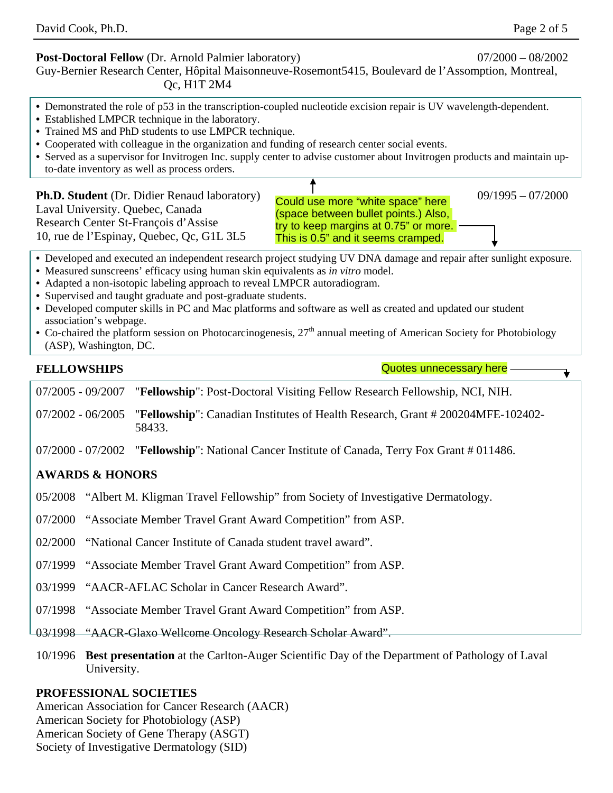#### **Post-Doctoral Fellow** (Dr. Arnold Palmier laboratory) 07/2000 – 08/2002

Guy-Bernier Research Center, Hôpital Maisonneuve-Rosemont5415, Boulevard de l'Assomption, Montreal, Qc, H1T 2M4

- **•** Demonstrated the role of p53 in the transcription-coupled nucleotide excision repair is UV wavelength-dependent.
- **•** Established LMPCR technique in the laboratory.
- **•** Trained MS and PhD students to use LMPCR technique.
- **•** Cooperated with colleague in the organization and funding of research center social events.
- **•** Served as a supervisor for Invitrogen Inc. supply center to advise customer about Invitrogen products and maintain upto-date inventory as well as process orders.

#### **Ph.D. Student** (Dr. Didier Renaud laboratory) **Could use more "white space" bere**  $09/1995 - 07/2000$ Laval University. Quebec, Canada Research Center St-François d'Assise 10, rue de l'Espinay, Quebec, Qc, G1L 3L5 Could use more "white space" here (space between bullet points.) Also, try to keep margins at 0.75" or more. This is 0.5" and it seems cramped.

- **•** Developed and executed an independent research project studying UV DNA damage and repair after sunlight exposure.
- **•** Measured sunscreens' efficacy using human skin equivalents as *in vitro* model.
- **•** Adapted a non-isotopic labeling approach to reveal LMPCR autoradiogram.
- **•** Supervised and taught graduate and post-graduate students.
- **•** Developed computer skills in PC and Mac platforms and software as well as created and updated our student association's webpage.
- Co-chaired the platform session on Photocarcinogenesis, 27<sup>th</sup> annual meeting of American Society for Photobiology (ASP), Washington, DC.

## **FELLOWSHIPS**

Quotes unnecessary here

07/2005 - 09/2007 "**Fellowship**": Post-Doctoral Visiting Fellow Research Fellowship, NCI, NIH.

07/2002 - 06/2005 "**Fellowship**": Canadian Institutes of Health Research, Grant # 200204MFE-102402- 58433.

07/2000 - 07/2002 "**Fellowship**": National Cancer Institute of Canada, Terry Fox Grant # 011486.

# **AWARDS & HONORS**

- 05/2008 "Albert M. Kligman Travel Fellowship" from Society of Investigative Dermatology.
- 07/2000 "Associate Member Travel Grant Award Competition" from ASP.
- 02/2000 "National Cancer Institute of Canada student travel award".
- 07/1999 "Associate Member Travel Grant Award Competition" from ASP.
- 03/1999 "AACR-AFLAC Scholar in Cancer Research Award".
- 07/1998 "Associate Member Travel Grant Award Competition" from ASP.
- 03/1998 "AACR-Glaxo Wellcome Oncology Research Scholar Award".
- 10/1996 **Best presentation** at the Carlton-Auger Scientific Day of the Department of Pathology of Laval University.

## **PROFESSIONAL SOCIETIES**

American Association for Cancer Research (AACR) American Society for Photobiology (ASP) American Society of Gene Therapy (ASGT) Society of Investigative Dermatology (SID)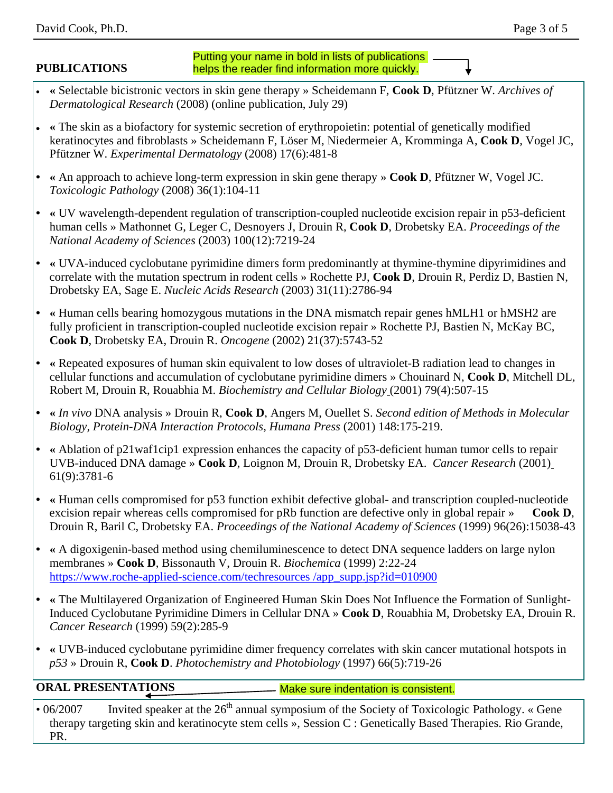# **PUBLICATIONS**

### Putting your name in bold in lists of publications helps the reader find information more quickly.

- **«** Selectable bicistronic vectors in skin gene therapy » Scheidemann F, **Cook D**, Pfützner W. *Archives of Dermatological Research* (2008) (online publication, July 29)
- **«** The skin as a biofactory for systemic secretion of erythropoietin: potential of genetically modified keratinocytes and fibroblasts » Scheidemann F, Löser M, Niedermeier A, Kromminga A, **Cook D**, Vogel JC, Pfützner W. *Experimental Dermatology* (2008) 17(6):481-8
- **• «** An approach to achieve long-term expression in skin gene therapy » **Cook D**, Pfützner W, Vogel JC. *Toxicologic Pathology* (2008) 36(1):104-11
- **• «** UV wavelength-dependent regulation of transcription-coupled nucleotide excision repair in p53-deficient human cells » Mathonnet G, Leger C, Desnoyers J, Drouin R, **Cook D**, Drobetsky EA. *Proceedings of the National Academy of Sciences* (2003) 100(12):7219-24
- **• «** UVA-induced cyclobutane pyrimidine dimers form predominantly at thymine-thymine dipyrimidines and correlate with the mutation spectrum in rodent cells » Rochette PJ, **Cook D**, Drouin R, Perdiz D, Bastien N, Drobetsky EA, Sage E. *Nucleic Acids Research* (2003) 31(11):2786-94
- **• «** Human cells bearing homozygous mutations in the DNA mismatch repair genes hMLH1 or hMSH2 are fully proficient in transcription-coupled nucleotide excision repair » Rochette PJ, Bastien N, McKay BC, **Cook D**, Drobetsky EA, Drouin R. *Oncogene* (2002) 21(37):5743-52
- **• «** Repeated exposures of human skin equivalent to low doses of ultraviolet-B radiation lead to changes in cellular functions and accumulation of cyclobutane pyrimidine dimers » Chouinard N, **Cook D**, Mitchell DL, Robert M, Drouin R, Rouabhia M. *Biochemistry and Cellular Biology* (2001) 79(4):507-15
- **• «** *In vivo* DNA analysis » Drouin R, **Cook D**, Angers M, Ouellet S. *Second edition of Methods in Molecular Biology, Protein-DNA Interaction Protocols, Humana Press* (2001) 148:175-219.
- **• «** Ablation of p21waf1cip1 expression enhances the capacity of p53-deficient human tumor cells to repair UVB-induced DNA damage » **Cook D**, Loignon M, Drouin R, Drobetsky EA. *Cancer Research* (2001) 61(9):3781-6
- **• «** Human cells compromised for p53 function exhibit defective global- and transcription coupled-nucleotide excision repair whereas cells compromised for pRb function are defective only in global repair » Cook D, Drouin R, Baril C, Drobetsky EA. *Proceedings of the National Academy of Sciences* (1999) 96(26):15038-43
- **• «** A digoxigenin-based method using chemiluminescence to detect DNA sequence ladders on large nylon membranes » **Cook D**, Bissonauth V, Drouin R. *Biochemica* (1999) 2:22-24 [https://www.roche-applied-science.com/techresources](https://www.roche-applied-science.com/techresources/app_supp.jsp?id=010900) /app\_supp.jsp?id=010900
- **• «** The Multilayered Organization of Engineered Human Skin Does Not Influence the Formation of Sunlight-Induced Cyclobutane Pyrimidine Dimers in Cellular DNA » **Cook D**, Rouabhia M, Drobetsky EA, Drouin R. *Cancer Research* (1999) 59(2):285-9
- **• «** UVB-induced cyclobutane pyrimidine dimer frequency correlates with skin cancer mutational hotspots in *p53* » Drouin R, **Cook D**. *Photochemistry and Photobiology* (1997) 66(5):719-26

**ORAL PRESENTATIONS**

Make sure indentation is consistent.

• 06/2007 Invited speaker at the  $26<sup>th</sup>$  annual symposium of the Society of Toxicologic Pathology. « Gene therapy targeting skin and keratinocyte stem cells », Session C : Genetically Based Therapies. Rio Grande, PR.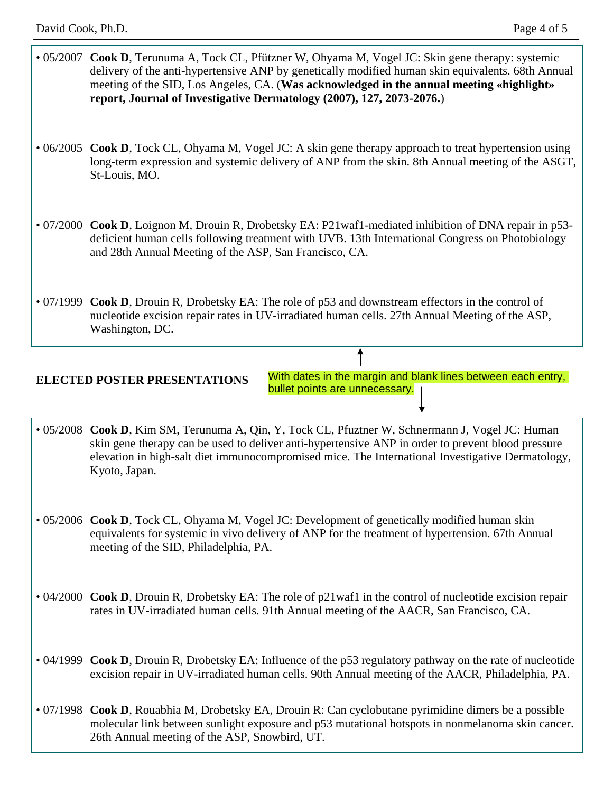- 05/2007 **Cook D**, Terunuma A, Tock CL, Pfützner W, Ohyama M, Vogel JC: Skin gene therapy: systemic delivery of the anti-hypertensive ANP by genetically modified human skin equivalents. 68th Annual meeting of the SID, Los Angeles, CA. (**Was acknowledged in the annual meeting «highlight» report, Journal of Investigative Dermatology (2007), 127, 2073-2076.**)
- 06/2005 **Cook D**, Tock CL, Ohyama M, Vogel JC: A skin gene therapy approach to treat hypertension using long-term expression and systemic delivery of ANP from the skin. 8th Annual meeting of the ASGT, St-Louis, MO.
- 07/2000 **Cook D**, Loignon M, Drouin R, Drobetsky EA: P21waf1-mediated inhibition of DNA repair in p53 deficient human cells following treatment with UVB. 13th International Congress on Photobiology and 28th Annual Meeting of the ASP, San Francisco, CA.
- 07/1999 **Cook D**, Drouin R, Drobetsky EA: The role of p53 and downstream effectors in the control of nucleotide excision repair rates in UV-irradiated human cells. 27th Annual Meeting of the ASP, Washington, DC.

## **ELECTED POSTER PRESENTATIONS**

With dates in the margin and blank lines between each entry, bullet points are unnecessary.

- 05/2008 **Cook D**, Kim SM, Terunuma A, Qin, Y, Tock CL, Pfuztner W, Schnermann J, Vogel JC: Human skin gene therapy can be used to deliver anti-hypertensive ANP in order to prevent blood pressure elevation in high-salt diet immunocompromised mice. The International Investigative Dermatology, Kyoto, Japan.
- 05/2006 **Cook D**, Tock CL, Ohyama M, Vogel JC: Development of genetically modified human skin equivalents for systemic in vivo delivery of ANP for the treatment of hypertension. 67th Annual meeting of the SID, Philadelphia, PA.
- 04/2000 **Cook D**, Drouin R, Drobetsky EA: The role of p21waf1 in the control of nucleotide excision repair rates in UV-irradiated human cells. 91th Annual meeting of the AACR, San Francisco, CA.
- 04/1999 **Cook D**, Drouin R, Drobetsky EA: Influence of the p53 regulatory pathway on the rate of nucleotide excision repair in UV-irradiated human cells. 90th Annual meeting of the AACR, Philadelphia, PA.
- 07/1998 **Cook D**, Rouabhia M, Drobetsky EA, Drouin R: Can cyclobutane pyrimidine dimers be a possible molecular link between sunlight exposure and p53 mutational hotspots in nonmelanoma skin cancer. 26th Annual meeting of the ASP, Snowbird, UT.